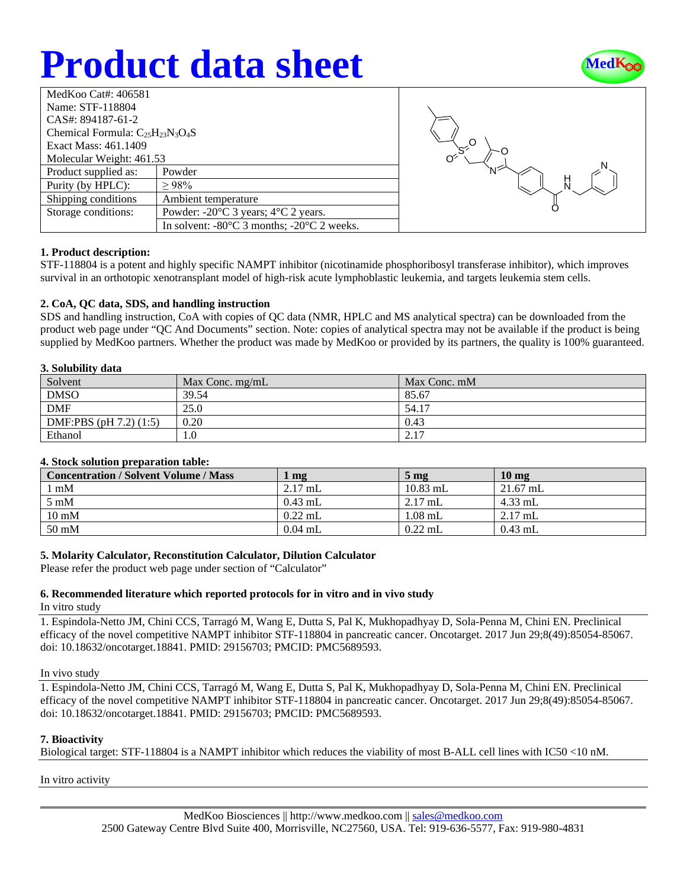# **Product data sheet**



| MedKoo Cat#: 406581                     |                                                                |  |  |  |
|-----------------------------------------|----------------------------------------------------------------|--|--|--|
| Name: STF-118804                        |                                                                |  |  |  |
| CAS#: 894187-61-2                       |                                                                |  |  |  |
| Chemical Formula: $C_{25}H_{23}N_3O_4S$ |                                                                |  |  |  |
| Exact Mass: 461.1409                    |                                                                |  |  |  |
| Molecular Weight: 461.53                |                                                                |  |  |  |
| Product supplied as:                    | Powder                                                         |  |  |  |
| Purity (by HPLC):                       | >98%                                                           |  |  |  |
| Shipping conditions                     | Ambient temperature                                            |  |  |  |
| Storage conditions:                     | Powder: $-20^{\circ}$ C 3 years; $4^{\circ}$ C 2 years.        |  |  |  |
|                                         | In solvent: $-80^{\circ}$ C 3 months; $-20^{\circ}$ C 2 weeks. |  |  |  |



## **1. Product description:**

STF-118804 is a potent and highly specific NAMPT inhibitor (nicotinamide phosphoribosyl transferase inhibitor), which improves survival in an orthotopic xenotransplant model of high-risk acute lymphoblastic leukemia, and targets leukemia stem cells.

## **2. CoA, QC data, SDS, and handling instruction**

SDS and handling instruction, CoA with copies of QC data (NMR, HPLC and MS analytical spectra) can be downloaded from the product web page under "QC And Documents" section. Note: copies of analytical spectra may not be available if the product is being supplied by MedKoo partners. Whether the product was made by MedKoo or provided by its partners, the quality is 100% guaranteed.

### **3. Solubility data**

| ----------<br>-------      |                   |              |  |  |
|----------------------------|-------------------|--------------|--|--|
| Solvent                    | Max Conc. $mg/mL$ | Max Conc. mM |  |  |
| <b>DMSO</b>                | 39.54             | 85.67        |  |  |
| <b>DMF</b>                 | 25.0              | 54.17        |  |  |
| DMF:PBS $(pH 7.2)$ $(1:5)$ | 0.20              | 0.43         |  |  |
| Ethanol                    | 1.0               | 2.17         |  |  |

## **4. Stock solution preparation table:**

| <b>Concentration / Solvent Volume / Mass</b> | $\mathbf{mg}$ | $5 \text{ mg}$ | 10 <sub>mg</sub> |
|----------------------------------------------|---------------|----------------|------------------|
| l mM                                         | $2.17$ mL     | $10.83$ mL     | $21.67$ mL       |
| $5 \text{ mM}$                               | $0.43$ mL     | $2.17$ mL      | $4.33$ mL        |
| $10 \text{ mM}$                              | $0.22$ mL     | $1.08$ mL      | $2.17$ mL        |
| $50 \text{ mM}$                              | $0.04$ mL     | $0.22$ mL      | $0.43$ mL        |

## **5. Molarity Calculator, Reconstitution Calculator, Dilution Calculator**

Please refer the product web page under section of "Calculator"

## **6. Recommended literature which reported protocols for in vitro and in vivo study**

In vitro study

1. Espindola-Netto JM, Chini CCS, Tarragó M, Wang E, Dutta S, Pal K, Mukhopadhyay D, Sola-Penna M, Chini EN. Preclinical efficacy of the novel competitive NAMPT inhibitor STF-118804 in pancreatic cancer. Oncotarget. 2017 Jun 29;8(49):85054-85067. doi: 10.18632/oncotarget.18841. PMID: 29156703; PMCID: PMC5689593.

#### In vivo study

1. Espindola-Netto JM, Chini CCS, Tarragó M, Wang E, Dutta S, Pal K, Mukhopadhyay D, Sola-Penna M, Chini EN. Preclinical efficacy of the novel competitive NAMPT inhibitor STF-118804 in pancreatic cancer. Oncotarget. 2017 Jun 29;8(49):85054-85067. doi: 10.18632/oncotarget.18841. PMID: 29156703; PMCID: PMC5689593.

## **7. Bioactivity**

Biological target: STF-118804 is a NAMPT inhibitor which reduces the viability of most B-ALL cell lines with IC50 <10 nM.

In vitro activity